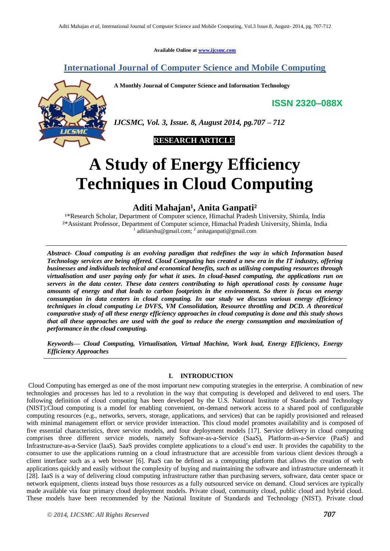**Available Online at [www.ijcsmc.com](http://www.ijcsmc.com/)**

# **International Journal of Computer Science and Mobile Computing**

**A Monthly Journal of Computer Science and Information Technology**

**ISSN 2320–088X**



*IJCSMC, Vol. 3, Issue. 8, August 2014, pg.707 – 712*



# **A Study of Energy Efficiency Techniques in Cloud Computing**

# Aditi Mahajan<sup>1</sup>, Anita Ganpati<sup>2</sup>

<sup>1\*</sup>Research Scholar, Department of Computer science, Himachal Pradesh University, Shimla, India ²\*Assistant Professor, Department of Computer science, Himachal Pradesh University, Shimla, India <sup>1</sup> aditiarshu@gmail.com; <sup>2</sup> anitaganpati@gmail.com

*Abstract- Cloud computing is an evolving paradigm that redefines the way in which Information based Technology services are being offered. Cloud Computing has created a new era in the IT industry, offering businesses and individuals technical and economical benefits, such as utilising computing resources through virtualisation and user paying only for what it uses. In cloud-based computing, the applications run on servers in the data center. These data centers contributing to high operational costs by consume huge amounts of energy and that leads to carbon footprints in the environment. So there is focus on energy consumption in data centers in cloud computing. In our study we discuss various energy efficiency techniques in cloud computing i.e DVFS, VM Consolidation, Resource throttling and DCD. A theoretical comparative study of all these energy efficiency approaches in cloud computing is done and this study shows that all these approaches are used with the goal to reduce the energy consumption and maximization of performance in the cloud computing.*

*Keywords— Cloud Computing, Virtualisation, Virtual Machine, Work load, Energy Efficiency, Energy Efficiency Approaches*

### **I. INTRODUCTION**

Cloud Computing has emerged as one of the most important new computing strategies in the enterprise. A combination of new technologies and processes has led to a revolution in the way that computing is developed and delivered to end users. The following definition of cloud computing has been developed by the U.S. National Institute of Standards and Technology (NIST):Cloud computing is a model for enabling convenient, on-demand network access to a shared pool of configurable computing resources (e.g., networks, servers, storage, applications, and services) that can be rapidly provisioned and released with minimal management effort or service provider interaction. This cloud model promotes availability and is composed of five essential characteristics, three service models, and four deployment models [17]. Service delivery in cloud computing comprises three different service models, namely Software-as-a-Service (SaaS), Platform-as-a-Service (PaaS) and Infrastructure-as-a-Service (IaaS). SaaS provides complete applications to a cloud's end user. It provides the capability to the consumer to use the applications running on a cloud infrastructure that are accessible from various client devices through a client interface such as a web browser [6]. PaaS can be defined as a computing platform that allows the creation of web applications quickly and easily without the complexity of buying and maintaining the software and infrastructure underneath it [28]. IaaS is a way of delivering cloud computing infrastructure rather than purchasing servers, software, data center space or network equipment, clients instead buys those resources as a fully outsourced service on demand. Cloud services are typically made available via four primary cloud deployment models. Private cloud, community cloud, public cloud and hybrid cloud. These models have been recommended by the National Institute of Standards and Technology (NIST). Private cloud

*© 2014, IJCSMC All Rights Reserved 707*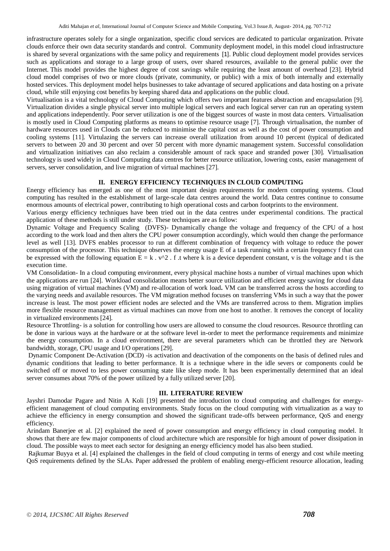infrastructure operates solely for a single organization, specific cloud services are dedicated to particular organization. Private clouds enforce their own data security standards and control. Community deployment model, in this model cloud infrastructure is shared by several organizations with the same policy and requirements [1]. Public cloud deployment model provides services such as applications and storage to a large group of users, over shared resources, available to the general public over the Internet. This model provides the highest degree of cost savings while requiring the least amount of overhead [23]. Hybrid cloud model comprises of two or more clouds (private, community, or public) with a mix of both internally and externally hosted services. This deployment model helps businesses to take advantage of secured applications and data hosting on a private cloud, while still enjoying cost benefits by keeping shared data and applications on the public cloud.

Virtualisation is a vital technology of Cloud Computing which offers two important features abstraction and encapsulation [9]. Virtualization divides a single physical server into multiple logical servers and each logical server can run an operating system and applications independently. Poor server utilization is one of the biggest sources of waste in most data centers. Virtualisation is mostly used in Cloud Computing platforms as means to optimise resource usage [7]. Through virtualisation, the number of hardware resources used in Clouds can be reduced to minimise the capital cost as well as the cost of power consumption and cooling systems [11]. Virtulazing the servers can increase overall utilization from around 10 percent (typical of dedicated servers to between 20 and 30 percent and over 50 percent with more dynamic management system. Successful consolidation and virtualization initiatives can also reclaim a considerable amount of rack space and stranded power [30]. Virtualisation technology is used widely in Cloud Computing data centres for better resource utilization, lowering costs, easier management of servers, server consolidation, and live migration of virtual machines [27].

# **II. ENERGY EFFICIENCY TECHNIQUES IN CLOUD COMPUTING**

Energy efficiency has emerged as one of the most important design requirements for modern computing systems. Cloud computing has resulted in the establishment of large-scale data centres around the world. Data centres continue to consume enormous amounts of electrical power, contributing to high operational costs and carbon footprints to the environment.

Various energy efficiency techniques have been tried out in the data centres under experimental conditions. The practical application of these methods is still under study. These techniques are as follow:

Dynamic Voltage and Frequency Scaling (DVFS)- Dynamically change the voltage and frequency of the CPU of a host according to the work load and then alters the CPU power consumption accordingly, which would then change the performance level as well [13]. DVFS enables processor to run at different combination of frequency with voltage to reduce the power consumption of the processor. This technique observes the energy usage E of a task running with a certain frequency f that can be expressed with the following equation  $E = k \cdot v^2$ . f .t where k is a device dependent constant, v is the voltage and t is the execution time.

VM Consolidation- In a cloud computing environment, every physical machine hosts a number of virtual machines upon which the applications are run [24]. Workload consolidation means better source utilization and efficient energy saving for cloud data using migration of virtual machines (VM) and re-allocation of work load**.** VM can be transferred across the hosts according to the varying needs and available resources. The VM migration method focuses on transferring VMs in such a way that the power increase is least. The most power efficient nodes are selected and the VMs are transferred across to them. Migration implies more flexible resource management as virtual machines can move from one host to another. It removes the concept of locality in virtualized environments [24].

Resource Throttling- is a solution for controlling how users are allowed to consume the cloud resources. Resource throttling can be done in various ways at the hardware or at the software level in-order to meet the performance requirements and minimize the energy consumption. In a cloud environment, there are several parameters which can be throttled they are Network bandwidth, storage, CPU usage and I/O operations [29].

Dynamic Component De-Activation (DCD) -is activation and deactivation of the components on the basis of defined rules and dynamic conditions that leading to better performance. It is a technique where in the idle severs or components could be switched off or moved to less power consuming state like sleep mode. It has been experimentally determined that an ideal server consumes about 70% of the power utilized by a fully utilized server [20].

#### **III. LITERATURE REVIEW**

Jayshri Damodar Pagare and Nitin A Koli [19] presented the introduction to cloud computing and challenges for energyefficient management of cloud computing environments. Study focus on the cloud computing with virtualization as a way to achieve the efficiency in energy consumption and showed the significant trade-offs between performance, QoS and energy efficiency.

Arindam Banerjee et al. [2] explained the need of power consumption and energy efficiency in cloud computing model. It shows that there are few major components of cloud architecture which are responsible for high amount of power dissipation in cloud. The possible ways to meet each sector for designing an energy efficiency model has also been studied.

Rajkumar Buyya et al. [4] explained the challenges in the field of cloud computing in terms of energy and cost while meeting QoS requirements defined by the SLAs. Paper addressed the problem of enabling energy-efficient resource allocation, leading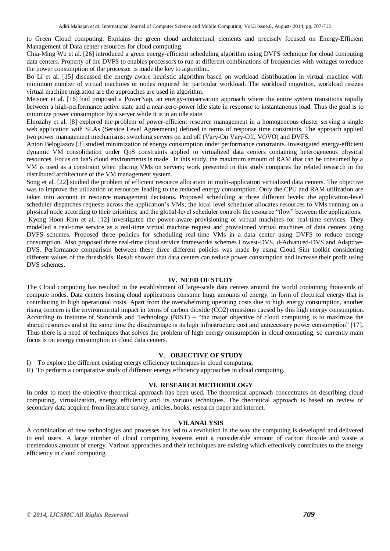to Green Cloud computing. Explains the green cloud architectural elements and precisely focused on Energy-Efficient Management of Data center resources for cloud computing.

Chia-Ming Wu et al. [26] introduced a green energy-efficient scheduling algorithm using DVFS technique for cloud computing data centers. Property of the DVFS to enables processors to run at different combinations of frequencies with voltages to reduce the power consumption of the processor is made the key to algorithm.

Bo Li et al. [15] discussed the energy aware heuristic algorithm based on workload distributation in virtual machine with minimum number of virtual machines or nodes required for particular workload. The workload migration, workload resizes virtual machine migration are the approaches are used in algorithm.

Meisner et al. [16] had proposed a PowerNap, an energy-conservation approach where the entire system transitions rapidly between a high-performance active state and a near-zero-power idle state in response to instantaneous load. Thus the goal is to minimize power consumption by a server while it is in an idle state.

Elnozahy et al. [8] explored the problem of power-efficient resource management in a homogeneous cluster serving a single web application with SLAs (Service Level Agreements) defined in terms of response time constraints. The approach applied two power management mechanisms: switching servers on and off (Vary-On Vary-Off, VOVO) and DVFS.

Anton Beloglazov [3] studied minimization of energy consumption under performance constraints. Investigated energy-efficient dynamic VM consolidation under QoS constraints applied to virtualized data centers containing heterogeneous physical resources. Focus on IaaS cloud environments is made. In this study, the maximum amount of RAM that can be consumed by a VM is used as a constraint when placing VMs on servers; work presented in this study compares the related research in the distributed architecture of the VM management system.

Song et al. [22] studied the problem of efficient resource allocation in multi-application virtualized data centers. The objective was to improve the utilization of resources leading to the reduced energy consumption. Only the CPU and RAM utilization are taken into account in resource management decisions. Proposed scheduling at three different levels: the application-level scheduler dispatches requests across the application's VMs; the local level scheduler allocates resources to VMs running on a physical node according to their priorities; and the global-level scheduler controls the resource "flow" between the applications.

Kyong Hoon Kim et al. [12] investigated the power-aware provisioning of virtual machines for real-time services. They modelled a real-time service as a real-time virtual machine request and provisioned virtual machines of data centers using DVFS schemes. Proposed three policies for scheduling real-time VMs in a data center using DVFS to reduce energy consumption. Also proposed three real-time cloud service frameworks schemes Lowest-DVS, d-Advanced-DVS and Adaptive-DVS*.* Performance comparison between these three different policies was made by using Cloud Sim toolkit considering different values of the thresholds. Result showed that data centers can reduce power consumption and increase their profit using DVS schemes.

#### **IV. NEED OF STUDY**

The Cloud computing has resulted in the establishment of large-scale data centers around the world containing thousands of compute nodes. Data centers hosting cloud applications consume huge amounts of energy, in form of electrical energy that is contributing to high operational costs. Apart from the overwhelming operating costs due to high energy consumption, another rising concern is the environmental impact in terms of carbon dioxide (CO2) emissions caused by this high energy consumption. According to Institute of Standards and Technology (NIST) – "the major objective of cloud computing is to maximize the shared resources and at the same time the disadvantage is its high infrastructure cost and unnecessary power consumption" [17]. Thus there is a need of techniques that solves the problem of high energy consumption in cloud computing, so currently main focus is on energy consumption in cloud data centers.

## **V. OBJECTIVE OF STUDY**

I) To explore the different existing energy efficiency techniques in cloud computing.

II) To perform a comparative study of different energy efficiency approaches in cloud computing.

#### **VI. RESEARCH METHODOLOGY**

In order to meet the objective theoretical approach has been used. The theoretical approach concentrates on describing cloud computing, virtualization, energy efficiency and its various techniques. The theoretical approach is based on review of secondary data acquired from literature survey, articles, books, research paper and internet.

#### **VII.ANALYSIS**

A combination of new technologies and processes has led to a revolution in the way the computing is developed and delivered to end users. A large number of cloud computing systems emit a considerable amount of carbon dioxide and waste a tremendous amount of energy. Various approaches and their techniques are existing which effectively contributes to the energy efficiency in cloud computing.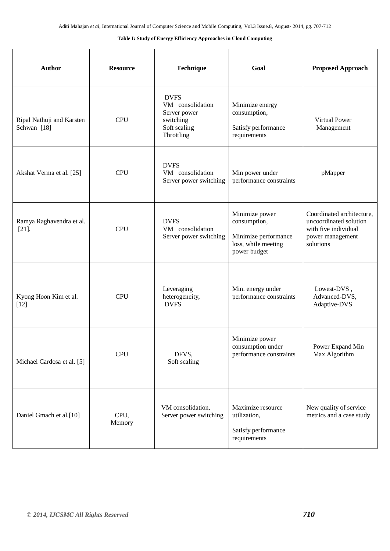#### **Table I: Study of Energy Efficiency Approaches in Cloud Computing**

| <b>Author</b>                            | <b>Resource</b> | <b>Technique</b>                                                                           | Goal                                                                                          | <b>Proposed Approach</b>                                                                                     |
|------------------------------------------|-----------------|--------------------------------------------------------------------------------------------|-----------------------------------------------------------------------------------------------|--------------------------------------------------------------------------------------------------------------|
| Ripal Nathuji and Karsten<br>Schwan [18] | <b>CPU</b>      | <b>DVFS</b><br>VM consolidation<br>Server power<br>switching<br>Soft scaling<br>Throttling | Minimize energy<br>consumption,<br>Satisfy performance<br>requirements                        | Virtual Power<br>Management                                                                                  |
| Akshat Verma et al. [25]                 | <b>CPU</b>      | <b>DVFS</b><br>VM consolidation<br>Server power switching                                  | Min power under<br>performance constraints                                                    | pMapper                                                                                                      |
| Ramya Raghavendra et al.<br>$[21]$       | <b>CPU</b>      | <b>DVFS</b><br>VM consolidation<br>Server power switching                                  | Minimize power<br>consumption,<br>Minimize performance<br>loss, while meeting<br>power budget | Coordinated architecture,<br>uncoordinated solution<br>with five individual<br>power management<br>solutions |
| Kyong Hoon Kim et al.<br>$[12]$          | <b>CPU</b>      | Leveraging<br>heterogeneity,<br><b>DVFS</b>                                                | Min. energy under<br>performance constraints                                                  | Lowest-DVS,<br>Advanced-DVS,<br>Adaptive-DVS                                                                 |
| Michael Cardosa et al. [5]               | <b>CPU</b>      | DFVS,<br>Soft scaling                                                                      | Minimize power<br>consumption under<br>performance constraints                                | Power Expand Min<br>Max Algorithm                                                                            |
| Daniel Gmach et al.[10]                  | CPU,<br>Memory  | VM consolidation,<br>Server power switching                                                | Maximize resource<br>utilization,<br>Satisfy performance<br>requirements                      | New quality of service<br>metrics and a case study                                                           |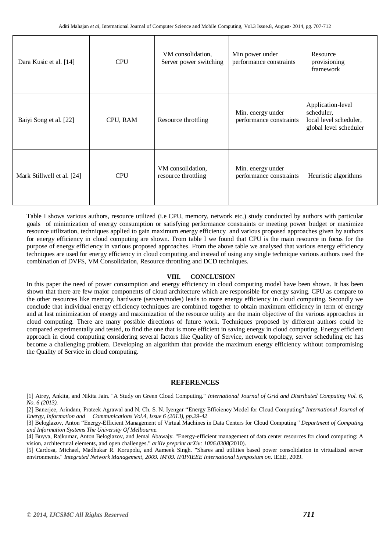| Dara Kusic et al. [14]     | <b>CPU</b> | VM consolidation,<br>Server power switching | Min power under<br>performance constraints   | Resource<br>provisioning<br>framework                                               |
|----------------------------|------------|---------------------------------------------|----------------------------------------------|-------------------------------------------------------------------------------------|
| Baiyi Song et al. [22]     | CPU, RAM   | Resource throttling                         | Min. energy under<br>performance constraints | Application-level<br>scheduler,<br>local level scheduler,<br>global level scheduler |
| Mark Stillwell et al. [24] | <b>CPU</b> | VM consolidation,<br>resource throttling    | Min. energy under<br>performance constraints | Heuristic algorithms                                                                |

Table I shows various authors, resource utilized (i.e CPU, memory, network etc,) study conducted by authors with particular goals of minimization of energy consumption or satisfying performance constraints or meeting power budget or maximize resource utilization, techniques applied to gain maximum energy efficiency and various proposed approaches given by authors for energy efficiency in cloud computing are shown. From table I we found that CPU is the main resource in focus for the purpose of energy efficiency in various proposed approaches. From the above table we analysed that various energy efficiency techniques are used for energy efficiency in cloud computing and instead of using any single technique various authors used the combination of DVFS, VM Consolidation, Resource throttling and DCD techniques.

### **VIII. CONCLUSION**

In this paper the need of power consumption and energy efficiency in cloud computing model have been shown. It has been shown that there are few major components of cloud architecture which are responsible for energy saving. CPU as compare to the other resources like memory, hardware (servers/nodes) leads to more energy efficiency in cloud computing. Secondly we conclude that individual energy efficiency techniques are combined together to obtain maximum efficiency in term of energy and at last minimization of energy and maximization of the resource utility are the main objective of the various approaches in cloud computing. There are many possible directions of future work. Techniques proposed by different authors could be compared experimentally and tested, to find the one that is more efficient in saving energy in cloud computing. Energy efficient approach in cloud computing considering several factors like Quality of Service, network topology, server scheduling etc has become a challenging problem. Developing an algorithm that provide the maximum energy efficiency without compromising the Quality of Service in cloud computing.

## **REFERENCES**

[1] Atrey, Ankita, and Nikita Jain. "A Study on Green Cloud Computing." *International Journal of Grid and Distributed Computing Vol. 6, No. 6 (2013).*

[2] Banerjee, Arindam, Prateek Agrawal and N. Ch. S. N. Iyengar "Energy Efficiency Model for Cloud Computing" *International Journal of Energy, Information and Communications Vol.4, Issue 6 (2013), pp.29-42* 

[3] Beloglazov, Anton "Energy-Efficient Management of Virtual Machines in Data Centers for Cloud Computing*" Department of Computing and Information Systems The University Of Melbourne*.

[4] Buyya, Rajkumar, Anton Beloglazov, and Jemal Abawajy. "Energy-efficient management of data center resources for cloud computing: A vision, architectural elements, and open challenges." *arXiv preprint arXiv: 1006.0308*(2010).

[5] Cardosa, Michael, Madhukar R. Korupolu, and Aameek Singh. "Shares and utilities based power consolidation in virtualized server environments." *Integrated Network Management, 2009. IM'09. IFIP/IEEE International Symposium on*. IEEE, 2009.